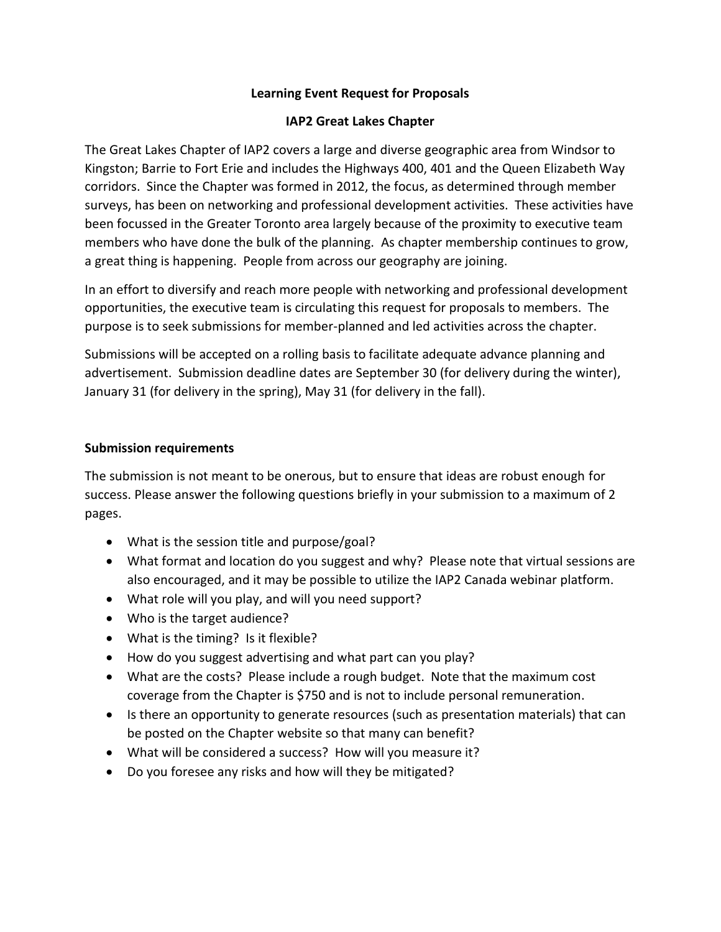### **Learning Event Request for Proposals**

### **IAP2 Great Lakes Chapter**

The Great Lakes Chapter of IAP2 covers a large and diverse geographic area from Windsor to Kingston; Barrie to Fort Erie and includes the Highways 400, 401 and the Queen Elizabeth Way corridors. Since the Chapter was formed in 2012, the focus, as determined through member surveys, has been on networking and professional development activities. These activities have been focussed in the Greater Toronto area largely because of the proximity to executive team members who have done the bulk of the planning. As chapter membership continues to grow, a great thing is happening. People from across our geography are joining.

In an effort to diversify and reach more people with networking and professional development opportunities, the executive team is circulating this request for proposals to members. The purpose is to seek submissions for member-planned and led activities across the chapter.

Submissions will be accepted on a rolling basis to facilitate adequate advance planning and advertisement. Submission deadline dates are September 30 (for delivery during the winter), January 31 (for delivery in the spring), May 31 (for delivery in the fall).

## **Submission requirements**

The submission is not meant to be onerous, but to ensure that ideas are robust enough for success. Please answer the following questions briefly in your submission to a maximum of 2 pages.

- What is the session title and purpose/goal?
- What format and location do you suggest and why? Please note that virtual sessions are also encouraged, and it may be possible to utilize the IAP2 Canada webinar platform.
- What role will you play, and will you need support?
- Who is the target audience?
- What is the timing? Is it flexible?
- How do you suggest advertising and what part can you play?
- What are the costs? Please include a rough budget. Note that the maximum cost coverage from the Chapter is \$750 and is not to include personal remuneration.
- Is there an opportunity to generate resources (such as presentation materials) that can be posted on the Chapter website so that many can benefit?
- What will be considered a success? How will you measure it?
- Do you foresee any risks and how will they be mitigated?